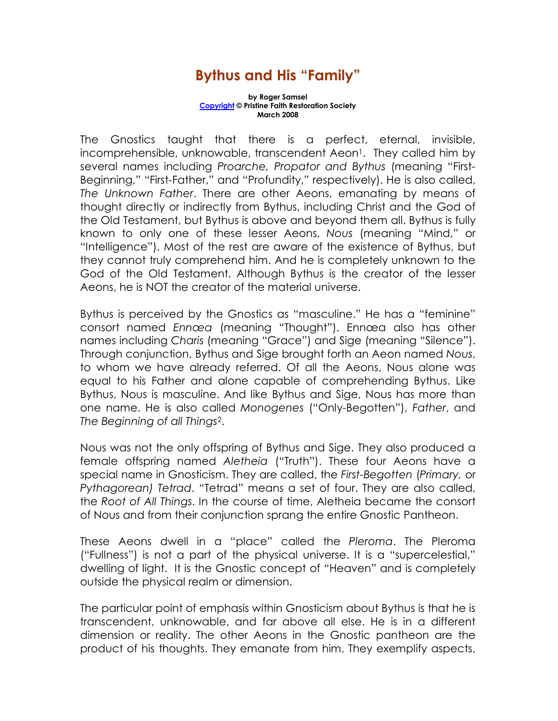## Bythus and His "Family"

by Roger Samsel Copyright © Pristine Faith Restoration Society March 2008

The Gnostics taught that there is a perfect, eternal, invisible, incomprehensible, unknowable, transcendent Aeon<sup>1</sup>. They called him by several names including Proarche, Propator and Bythus (meaning "First-Beginning," "First-Father," and "Profundity," respectively). He is also called, The Unknown Father. There are other Aeons, emanating by means of thought directly or indirectly from Bythus, including Christ and the God of the Old Testament, but Bythus is above and beyond them all. Bythus is fully known to only one of these lesser Aeons, Nous (meaning "Mind," or "Intelligence"). Most of the rest are aware of the existence of Bythus, but they cannot truly comprehend him. And he is completely unknown to the God of the Old Testament. Although Bythus is the creator of the lesser Aeons, he is NOT the creator of the material universe.

Bythus is perceived by the Gnostics as "masculine." He has a "feminine" consort named Ennœa (meaning "Thought"). Ennœa also has other names including Charis (meaning "Grace") and Sige (meaning "Silence"). Through conjunction, Bythus and Sige brought forth an Aeon named Nous, to whom we have already referred. Of all the Aeons, Nous alone was equal to his Father and alone capable of comprehending Bythus. Like Bythus, Nous is masculine. And like Bythus and Sige, Nous has more than one name. He is also called Monogenes ("Only-Begotten"), Father, and The Beginning of all Things2.

Nous was not the only offspring of Bythus and Sige. They also produced a female offspring named Aletheia ("Truth"). These four Aeons have a special name in Gnosticism. They are called, the First-Begotten (Primary, or Pythagorean) Tetrad. "Tetrad" means a set of four. They are also called, the Root of All Things. In the course of time, Aletheia became the consort of Nous and from their conjunction sprang the entire Gnostic Pantheon.

These Aeons dwell in a "place" called the Pleroma. The Pleroma ("Fullness") is not a part of the physical universe. It is a "supercelestial," dwelling of light. It is the Gnostic concept of "Heaven" and is completely outside the physical realm or dimension.

The particular point of emphasis within Gnosticism about Bythus is that he is transcendent, unknowable, and far above all else. He is in a different dimension or reality. The other Aeons in the Gnostic pantheon are the product of his thoughts. They emanate from him. They exemplify aspects,